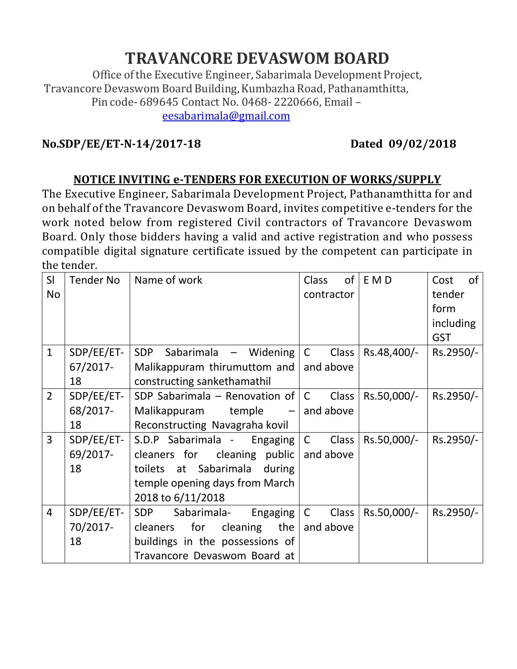## **TRAVANCORE DEVASWOM BOARD**

Office of the Executive Engineer, Sabarimala Development Project, Travancore Devaswom Board Building,Kumbazha Road, Pathanamthitta, Pin code- 689645 Contact No. 0468- 2220666, Email – eesabarimala@gmail.com

## **No.SDP/EE/ET-N-14/2017-18 Dated 09/02/2018**

## **NOTICE INVITING e-TENDERS FOR EXECUTION OF WORKS/SUPPLY**

The Executive Engineer, Sabarimala Development Project, Pathanamthitta for and on behalf of the Travancore Devaswom Board, invites competitive e-tenders for the work noted below from registered Civil contractors of Travancore Devaswom Board. Only those bidders having a valid and active registration and who possess compatible digital signature certificate issued by the competent can participate in the tender.

| SI             | Tender No  | Name of work                               | of <sub>l</sub><br><b>Class</b> | E M D       | of<br>Cost |
|----------------|------------|--------------------------------------------|---------------------------------|-------------|------------|
| <b>No</b>      |            |                                            | contractor                      |             | tender     |
|                |            |                                            |                                 |             | form       |
|                |            |                                            |                                 |             | including  |
|                |            |                                            |                                 |             | <b>GST</b> |
| $\mathbf{1}$   | SDP/EE/ET- | SDP Sabarimala $-$ Widening $ C $          | Class                           | Rs.48,400/- | Rs.2950/-  |
|                | 67/2017-   | Malikappuram thirumuttom and               | and above                       |             |            |
|                | 18         | constructing sankethamathil                |                                 |             |            |
| $\overline{2}$ | SDP/EE/ET- | SDP Sabarimala – Renovation of $ C $       | Class                           | Rs.50,000/- | Rs.2950/-  |
|                | 68/2017-   | Malikappuram temple $-$ and above          |                                 |             |            |
|                | 18         | Reconstructing Navagraha kovil             |                                 |             |            |
| $\overline{3}$ | SDP/EE/ET- | S.D.P Sabarimala - Engaging   C            | Class                           | Rs.50,000/- | Rs.2950/-  |
|                | 69/2017-   | cleaners for cleaning public $ $ and above |                                 |             |            |
|                | 18         | toilets at Sabarimala<br>during            |                                 |             |            |
|                |            | temple opening days from March             |                                 |             |            |
|                |            | 2018 to 6/11/2018                          |                                 |             |            |
| $\overline{4}$ | SDP/EE/ET- | Sabarimala- Engaging   C<br><b>SDP</b>     | Class                           | Rs.50,000/- | Rs.2950/-  |
|                | 70/2017-   | for cleaning the<br>cleaners               | and above                       |             |            |
|                | 18         | buildings in the possessions of            |                                 |             |            |
|                |            | Travancore Devaswom Board at               |                                 |             |            |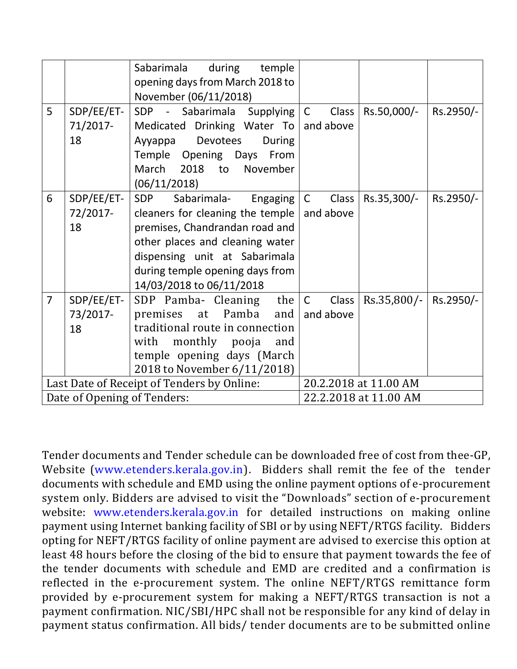|                                            |            | during<br>Sabarimala<br>temple<br>opening days from March 2018 to |                       |                                  |           |
|--------------------------------------------|------------|-------------------------------------------------------------------|-----------------------|----------------------------------|-----------|
|                                            |            | November (06/11/2018)                                             |                       |                                  |           |
| 5                                          | SDP/EE/ET- | SDP - Sabarimala Supplying C                                      | Class <sup>1</sup>    | Rs.50,000/-                      | Rs.2950/- |
|                                            | 71/2017-   | Medicated Drinking Water To   and above                           |                       |                                  |           |
|                                            | 18         | Devotees<br>Ayyappa<br>During                                     |                       |                                  |           |
|                                            |            | Temple Opening Days From                                          |                       |                                  |           |
|                                            |            | March 2018 to<br>November                                         |                       |                                  |           |
|                                            |            | (06/11/2018)                                                      |                       |                                  |           |
| 6                                          | SDP/EE/ET- | Engaging $ C $<br><b>SDP</b><br>Sabarimala-                       | Class                 | Rs.35,300/-                      | Rs.2950/- |
|                                            | 72/2017-   | cleaners for cleaning the temple $ $                              | and above             |                                  |           |
|                                            | 18         | premises, Chandrandan road and                                    |                       |                                  |           |
|                                            |            | other places and cleaning water                                   |                       |                                  |           |
|                                            |            | dispensing unit at Sabarimala                                     |                       |                                  |           |
|                                            |            | during temple opening days from                                   |                       |                                  |           |
|                                            |            | 14/03/2018 to 06/11/2018                                          |                       |                                  |           |
| $\overline{7}$                             | SDP/EE/ET- | the   C<br>SDP Pamba- Cleaning                                    | Class <sup>1</sup>    | $\text{Rs.}35,800/-$   Rs.2950/- |           |
|                                            | 73/2017-   | premises at Pamba<br>and                                          | and above             |                                  |           |
|                                            | 18         | traditional route in connection                                   |                       |                                  |           |
|                                            |            | with monthly pooja<br>and                                         |                       |                                  |           |
|                                            |            | temple opening days (March                                        |                       |                                  |           |
|                                            |            | 2018 to November 6/11/2018)                                       |                       |                                  |           |
| Last Date of Receipt of Tenders by Online: |            |                                                                   | 20.2.2018 at 11.00 AM |                                  |           |
| Date of Opening of Tenders:                |            |                                                                   | 22.2.2018 at 11.00 AM |                                  |           |

Tender documents and Tender schedule can be downloaded free of cost from thee-GP, Website (www.etenders.kerala.gov.in). Bidders shall remit the fee of the tender documents with schedule and EMD using the online payment options of e-procurement system only. Bidders are advised to visit the "Downloads" section of e-procurement website: www.etenders.kerala.gov.in for detailed instructions on making online payment using Internet banking facility of SBI or by using NEFT/RTGS facility. Bidders opting for NEFT/RTGS facility of online payment are advised to exercise this option at least 48 hours before the closing of the bid to ensure that payment towards the fee of the tender documents with schedule and EMD are credited and a confirmation is reflected in the e-procurement system. The online NEFT/RTGS remittance form provided by e-procurement system for making a NEFT/RTGS transaction is not a payment confirmation. NIC/SBI/HPC shall not be responsible for any kind of delay in payment status confirmation. All bids/ tender documents are to be submitted online